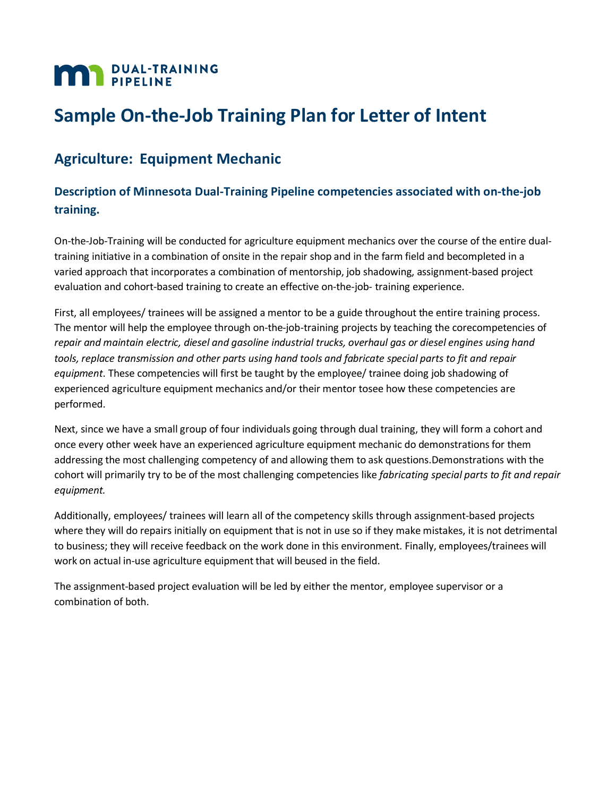# **MAN** DUAL-TRAINING

## **Sample On-the-Job Training Plan for Letter of Intent**

### **Agriculture: Equipment Mechanic**

#### **Description of Minnesota Dual-Training Pipeline competencies associated with on-the-job training.**

On-the-Job-Training will be conducted for agriculture equipment mechanics over the course of the entire dualtraining initiative in a combination of onsite in the repair shop and in the farm field and becompleted in a varied approach that incorporates a combination of mentorship, job shadowing, assignment-based project evaluation and cohort-based training to create an effective on-the-job- training experience.

First, all employees/ trainees will be assigned a mentor to be a guide throughout the entire training process. The mentor will help the employee through on-the-job-training projects by teaching the corecompetencies of *repair and maintain electric, diesel and gasoline industrial trucks, overhaul gas or diesel engines using hand tools, replace transmission and other parts using hand tools and fabricate special parts to fit and repair equipment*. These competencies will first be taught by the employee/ trainee doing job shadowing of experienced agriculture equipment mechanics and/or their mentor tosee how these competencies are performed.

Next, since we have a small group of four individuals going through dual training, they will form a cohort and once every other week have an experienced agriculture equipment mechanic do demonstrationsfor them addressing the most challenging competency of and allowing them to ask questions.Demonstrations with the cohort will primarily try to be of the most challenging competencies like *fabricating special parts to fit and repair equipment.*

Additionally, employees/ trainees will learn all of the competency skills through assignment-based projects where they will do repairs initially on equipment that is not in use so if they make mistakes, it is not detrimental to business; they will receive feedback on the work done in this environment. Finally, employees/trainees will work on actual in-use agriculture equipment that will beused in the field.

The assignment-based project evaluation will be led by either the mentor, employee supervisor or a combination of both.